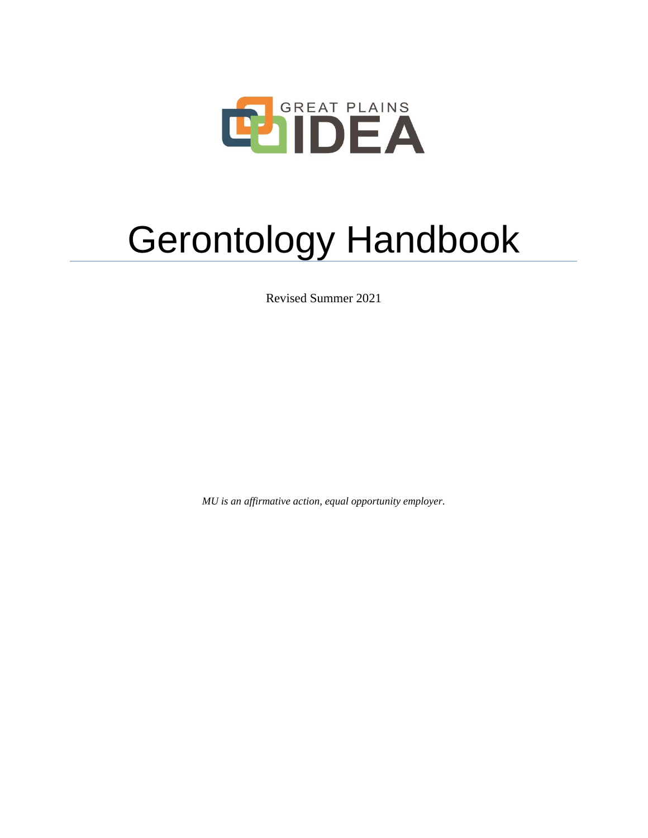

# Gerontology Handbook

Revised Summer 2021

*MU is an affirmative action, equal opportunity employer.*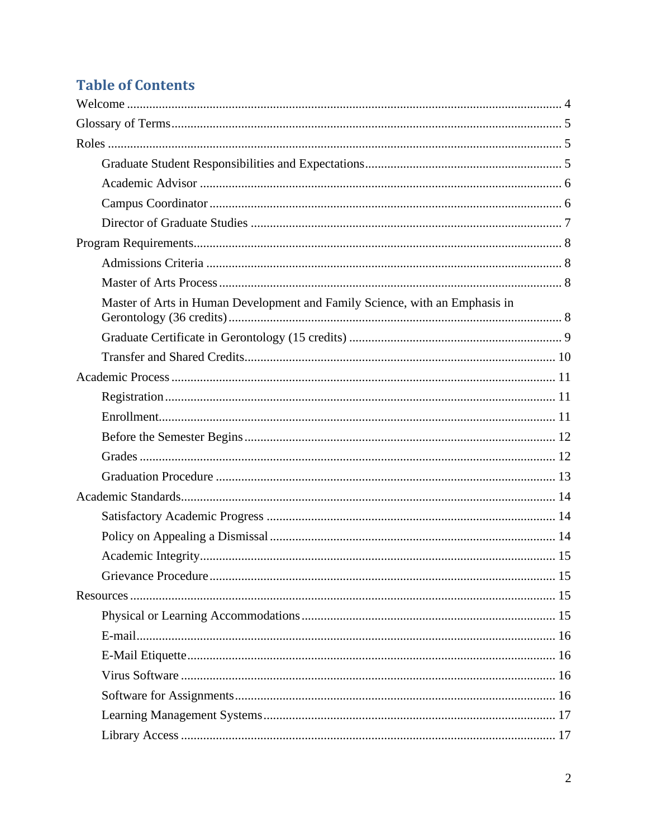# **Table of Contents**

| Master of Arts in Human Development and Family Science, with an Emphasis in |  |
|-----------------------------------------------------------------------------|--|
|                                                                             |  |
|                                                                             |  |
|                                                                             |  |
|                                                                             |  |
|                                                                             |  |
|                                                                             |  |
|                                                                             |  |
|                                                                             |  |
|                                                                             |  |
|                                                                             |  |
|                                                                             |  |
|                                                                             |  |
|                                                                             |  |
|                                                                             |  |
|                                                                             |  |
|                                                                             |  |
|                                                                             |  |
|                                                                             |  |
|                                                                             |  |
|                                                                             |  |
|                                                                             |  |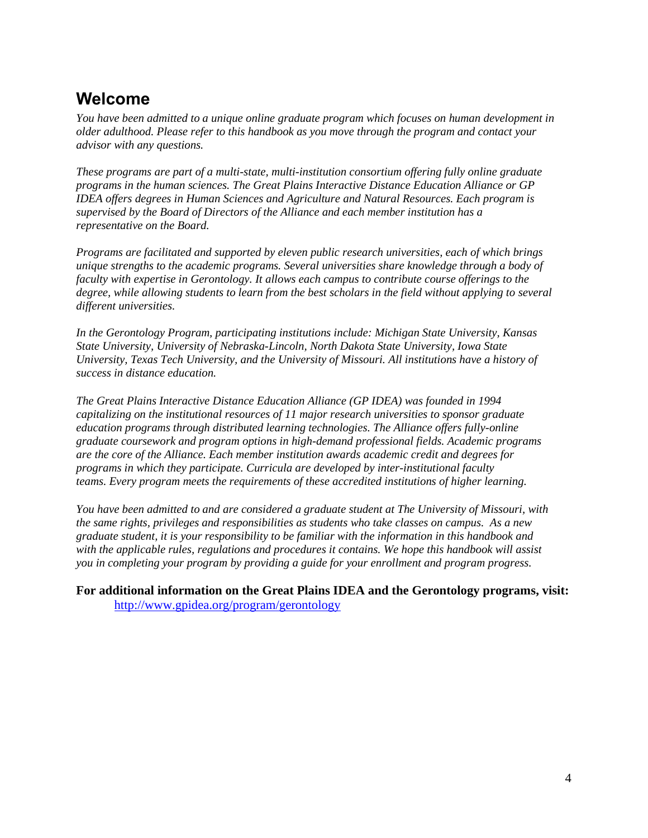# <span id="page-3-0"></span>**Welcome**

*You have been admitted to a unique online graduate program which focuses on human development in older adulthood. Please refer to this handbook as you move through the program and contact your advisor with any questions.*

*These programs are part of a multi-state, multi-institution consortium offering fully online graduate programs in the human sciences. The Great Plains Interactive Distance Education Alliance or GP IDEA offers degrees in Human Sciences and Agriculture and Natural Resources. Each program is supervised by the Board of Directors of the Alliance and each member institution has a representative on the Board.* 

*Programs are facilitated and supported by eleven public research universities, each of which brings unique strengths to the academic programs. Several universities share knowledge through a body of faculty with expertise in Gerontology. It allows each campus to contribute course offerings to the degree, while allowing students to learn from the best scholars in the field without applying to several different universities.*

*In the Gerontology Program, participating institutions include: Michigan State University, Kansas State University, University of Nebraska-Lincoln, North Dakota State University, Iowa State University, Texas Tech University, and the University of Missouri. All institutions have a history of success in distance education.*

*The Great Plains Interactive Distance Education Alliance (GP IDEA) was founded in 1994 capitalizing on the institutional resources of 11 major research universities to sponsor graduate education programs through distributed learning technologies. The Alliance offers fully-online graduate coursework and program options in high-demand professional fields. Academic programs are the core of the Alliance. Each member institution awards academic credit and degrees for programs in which they participate. Curricula are developed by inter-institutional faculty teams. Every program meets the requirements of these accredited institutions of higher learning.*

*You have been admitted to and are considered a graduate student at The University of Missouri, with the same rights, privileges and responsibilities as students who take classes on campus. As a new graduate student, it is your responsibility to be familiar with the information in this handbook and with the applicable rules, regulations and procedures it contains. We hope this handbook will assist you in completing your program by providing a guide for your enrollment and program progress.*

**For additional information on the Great Plains IDEA and the Gerontology programs, visit:** <http://www.gpidea.org/program/gerontology>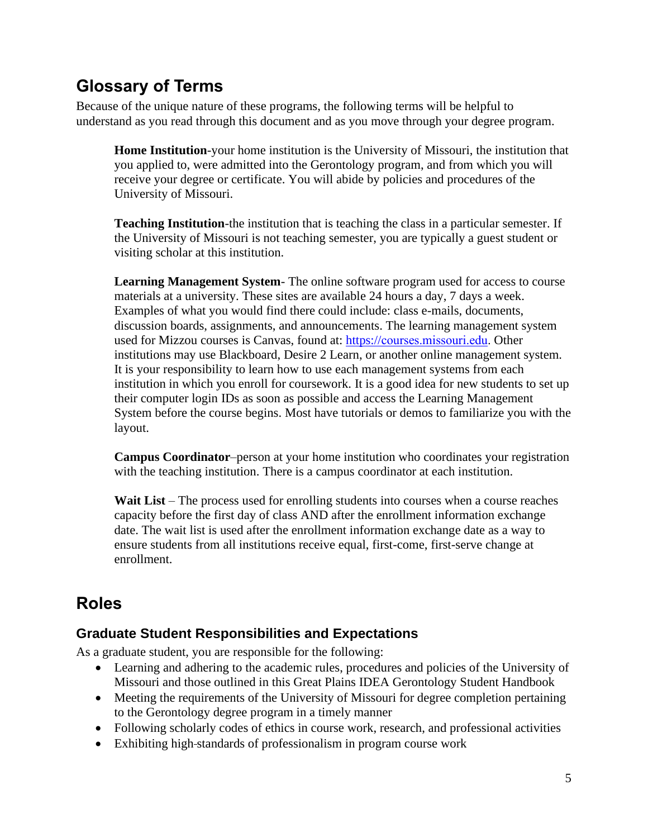# <span id="page-4-0"></span>**Glossary of Terms**

Because of the unique nature of these programs, the following terms will be helpful to understand as you read through this document and as you move through your degree program.

**Home Institution**-your home institution is the University of Missouri, the institution that you applied to, were admitted into the Gerontology program, and from which you will receive your degree or certificate. You will abide by policies and procedures of the University of Missouri.

**Teaching Institution**-the institution that is teaching the class in a particular semester. If the University of Missouri is not teaching semester, you are typically a guest student or visiting scholar at this institution.

**Learning Management System**- The online software program used for access to course materials at a university. These sites are available 24 hours a day, 7 days a week. Examples of what you would find there could include: class e-mails, documents, discussion boards, assignments, and announcements. The learning management system used for Mizzou courses is Canvas, found at: https://[courses.missouri.edu.](https://courses.missouri.edu/) Other institutions may use Blackboard, Desire 2 Learn, or another online management system. It is your responsibility to learn how to use each management systems from each institution in which you enroll for coursework. It is a good idea for new students to set up their computer login IDs as soon as possible and access the Learning Management System before the course begins. Most have tutorials or demos to familiarize you with the layout.

**Campus Coordinator**–person at your home institution who coordinates your registration with the teaching institution. There is a campus coordinator at each institution.

**Wait List** – The process used for enrolling students into courses when a course reaches capacity before the first day of class AND after the enrollment information exchange date. The wait list is used after the enrollment information exchange date as a way to ensure students from all institutions receive equal, first-come, first-serve change at enrollment.

# <span id="page-4-1"></span>**Roles**

# <span id="page-4-2"></span>**Graduate Student Responsibilities and Expectations**

As a graduate student, you are responsible for the following:

- Learning and adhering to the academic rules, procedures and policies of the University of Missouri and those outlined in this Great Plains IDEA Gerontology Student Handbook
- Meeting the requirements of the University of Missouri for degree completion pertaining to the Gerontology degree program in a timely manner
- Following scholarly codes of ethics in course work, research, and professional activities
- Exhibiting high-standards of professionalism in program course work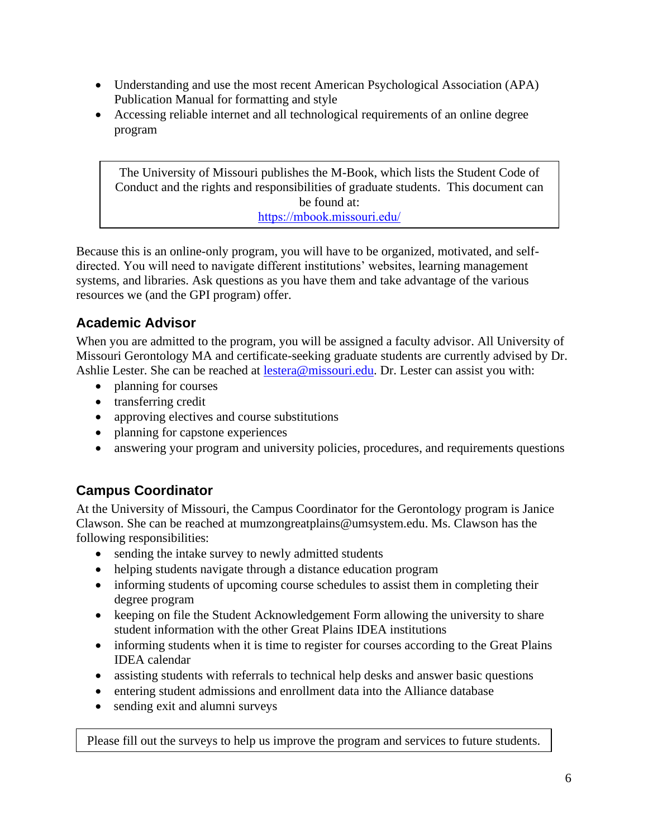- Understanding and use the most recent American Psychological Association (APA) Publication Manual for formatting and style
- Accessing reliable internet and all technological requirements of an online degree program

The University of Missouri publishes the M-Book, which lists the Student Code of Conduct and the rights and responsibilities of graduate students. This document can be found at: <https://mbook.missouri.edu/>

Because this is an online-only program, you will have to be organized, motivated, and selfdirected. You will need to navigate different institutions' websites, learning management systems, and libraries. Ask questions as you have them and take advantage of the various resources we (and the GPI program) offer.

# <span id="page-5-0"></span>**Academic Advisor**

When you are admitted to the program, you will be assigned a faculty advisor. All University of Missouri Gerontology MA and certificate-seeking graduate students are currently advised by Dr. Ashlie Lester. She can be reached at [lestera@missouri.edu.](mailto:lestera@missouri.edu) Dr. Lester can assist you with:

- planning for courses
- transferring credit
- approving electives and course substitutions
- planning for capstone experiences
- answering your program and university policies, procedures, and requirements questions

# <span id="page-5-1"></span>**Campus Coordinator**

At the University of Missouri, the Campus Coordinator for the Gerontology program is Janice Clawson. She can be reached at [mumzongreatplains@umsystem.edu.](mailto:mumzongreatplains@umsystem.edu) Ms. Clawson has the following responsibilities:

- sending the intake survey to newly admitted students
- helping students navigate through a distance education program
- informing students of upcoming course schedules to assist them in completing their degree program
- keeping on file the Student Acknowledgement Form allowing the university to share student information with the other Great Plains IDEA institutions
- informing students when it is time to register for courses according to the Great Plains IDEA calendar
- assisting students with referrals to technical help desks and answer basic questions
- entering student admissions and enrollment data into the Alliance database
- sending exit and alumni surveys

Please fill out the surveys to help us improve the program and services to future students.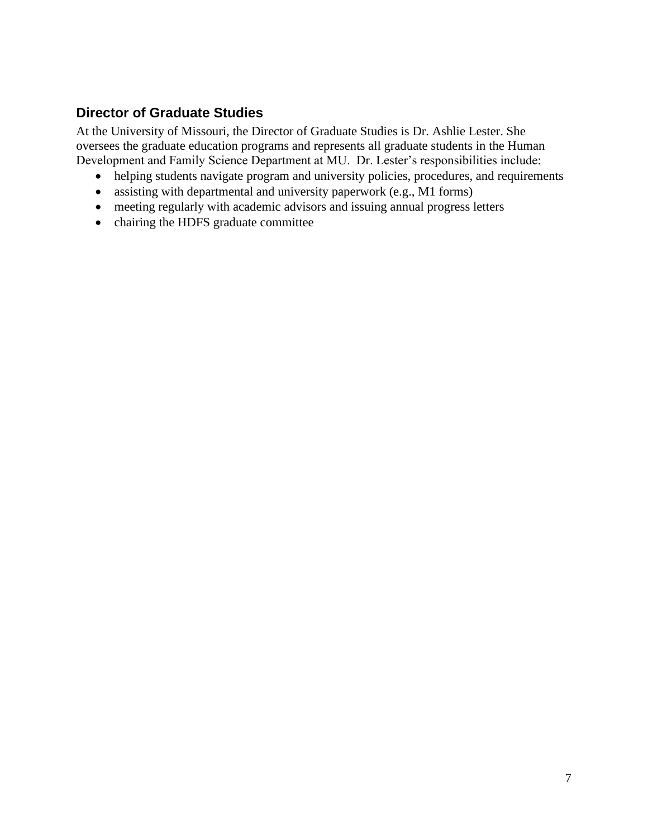### <span id="page-6-0"></span>**Director of Graduate Studies**

At the University of Missouri, the Director of Graduate Studies is Dr. Ashlie Lester. She oversees the graduate education programs and represents all graduate students in the Human Development and Family Science Department at MU. Dr. Lester's responsibilities include:

- helping students navigate program and university policies, procedures, and requirements
- assisting with departmental and university paperwork (e.g., M1 forms)
- meeting regularly with academic advisors and issuing annual progress letters
- chairing the HDFS graduate committee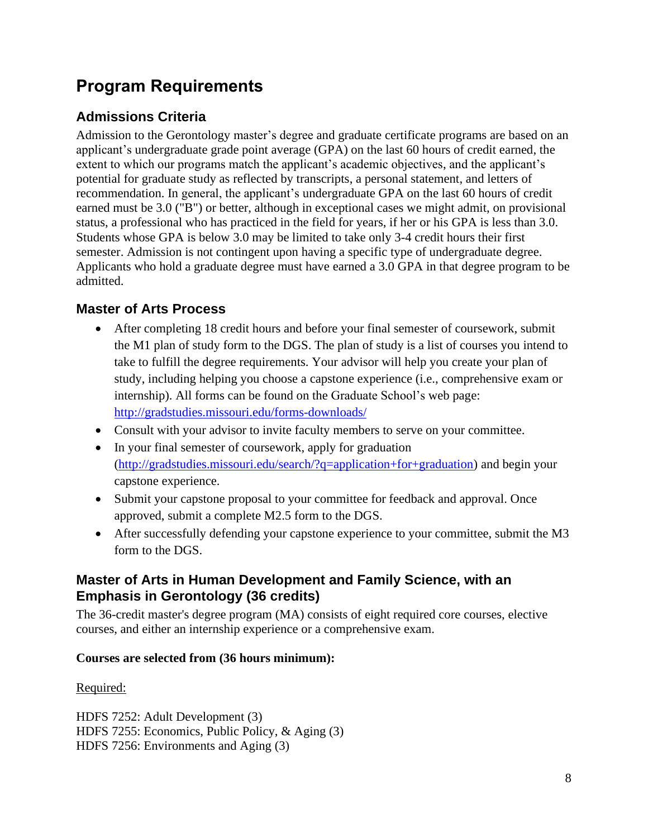# <span id="page-7-0"></span>**Program Requirements**

# <span id="page-7-1"></span>**Admissions Criteria**

Admission to the Gerontology master's degree and graduate certificate programs are based on an applicant's undergraduate grade point average (GPA) on the last 60 hours of credit earned, the extent to which our programs match the applicant's academic objectives, and the applicant's potential for graduate study as reflected by transcripts, a personal statement, and letters of recommendation. In general, the applicant's undergraduate GPA on the last 60 hours of credit earned must be 3.0 ("B") or better, although in exceptional cases we might admit, on provisional status, a professional who has practiced in the field for years, if her or his GPA is less than 3.0. Students whose GPA is below 3.0 may be limited to take only 3-4 credit hours their first semester. Admission is not contingent upon having a specific type of undergraduate degree. Applicants who hold a graduate degree must have earned a 3.0 GPA in that degree program to be admitted.

# <span id="page-7-2"></span>**Master of Arts Process**

- After completing 18 credit hours and before your final semester of coursework, submit the M1 plan of study form to the DGS. The plan of study is a list of courses you intend to take to fulfill the degree requirements. Your advisor will help you create your plan of study, including helping you choose a capstone experience (i.e., comprehensive exam or internship). All forms can be found on the Graduate School's web page: <http://gradstudies.missouri.edu/forms-downloads/>
- Consult with your advisor to invite faculty members to serve on your committee.
- In your final semester of coursework, apply for graduation [\(http://gradstudies.missouri.edu/search/?q=application+for+graduation\)](http://gradstudies.missouri.edu/search/?q=application+for+graduation) and begin your capstone experience.
- Submit your capstone proposal to your committee for feedback and approval. Once approved, submit a complete M2.5 form to the DGS.
- After successfully defending your capstone experience to your committee, submit the M3 form to the DGS.

### <span id="page-7-3"></span>**Master of Arts in Human Development and Family Science, with an Emphasis in Gerontology (36 credits)**

The 36-credit master's degree program (MA) consists of eight required core courses, elective courses, and either an internship experience or a comprehensive exam.

### **Courses are selected from (36 hours minimum):**

### Required:

HDFS 7252: Adult Development (3) HDFS 7255: Economics, Public Policy, & Aging (3) HDFS 7256: Environments and Aging (3)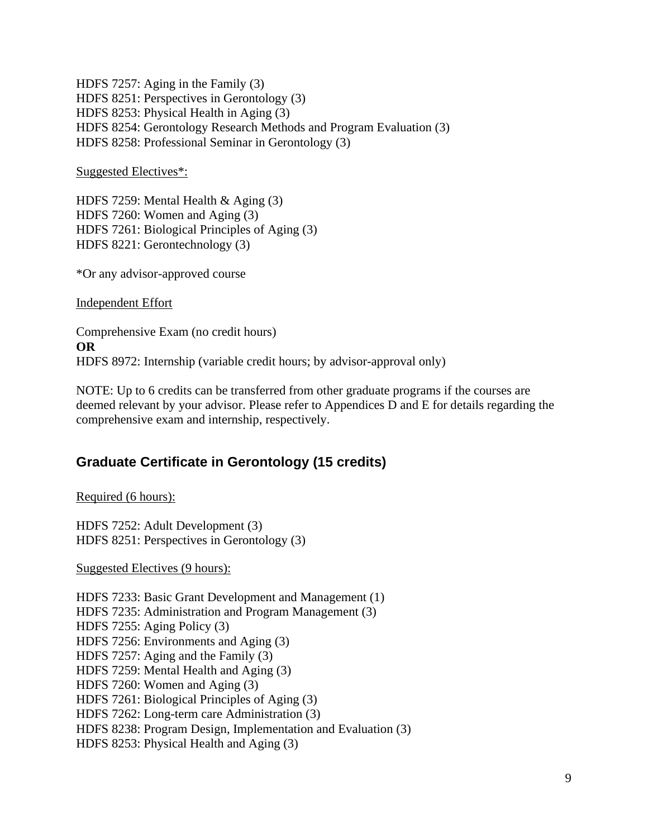HDFS 7257: Aging in the Family (3) HDFS 8251: Perspectives in Gerontology (3) HDFS 8253: Physical Health in Aging (3) HDFS 8254: Gerontology Research Methods and Program Evaluation (3) HDFS 8258: Professional Seminar in Gerontology (3)

Suggested Electives\*:

HDFS 7259: Mental Health & Aging (3) HDFS 7260: Women and Aging (3) HDFS 7261: Biological Principles of Aging (3) HDFS 8221: Gerontechnology (3)

\*Or any advisor-approved course

Independent Effort

Comprehensive Exam (no credit hours) **OR** HDFS 8972: Internship (variable credit hours; by advisor-approval only)

NOTE: Up to 6 credits can be transferred from other graduate programs if the courses are deemed relevant by your advisor. Please refer to Appendices D and E for details regarding the comprehensive exam and internship, respectively.

### <span id="page-8-0"></span>**Graduate Certificate in Gerontology (15 credits)**

Required (6 hours):

HDFS 7252: Adult Development (3) HDFS 8251: Perspectives in Gerontology (3)

Suggested Electives (9 hours):

HDFS 7233: Basic Grant Development and Management (1) HDFS 7235: Administration and Program Management (3) HDFS 7255: Aging Policy (3) HDFS 7256: Environments and Aging (3) HDFS 7257: Aging and the Family (3) HDFS 7259: Mental Health and Aging (3) HDFS 7260: Women and Aging (3) HDFS 7261: Biological Principles of Aging (3) HDFS 7262: Long-term care Administration (3) HDFS 8238: Program Design, Implementation and Evaluation (3) HDFS 8253: Physical Health and Aging (3)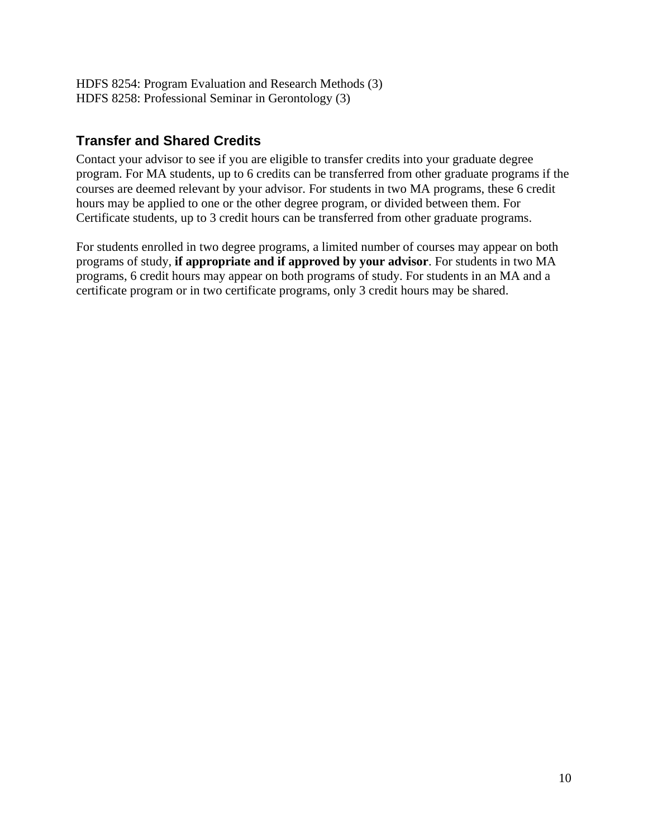HDFS 8254: Program Evaluation and Research Methods (3) HDFS 8258: Professional Seminar in Gerontology (3)

### <span id="page-9-0"></span>**Transfer and Shared Credits**

Contact your advisor to see if you are eligible to transfer credits into your graduate degree program. For MA students, up to 6 credits can be transferred from other graduate programs if the courses are deemed relevant by your advisor. For students in two MA programs, these 6 credit hours may be applied to one or the other degree program, or divided between them. For Certificate students, up to 3 credit hours can be transferred from other graduate programs.

For students enrolled in two degree programs, a limited number of courses may appear on both programs of study, **if appropriate and if approved by your advisor**. For students in two MA programs, 6 credit hours may appear on both programs of study. For students in an MA and a certificate program or in two certificate programs, only 3 credit hours may be shared.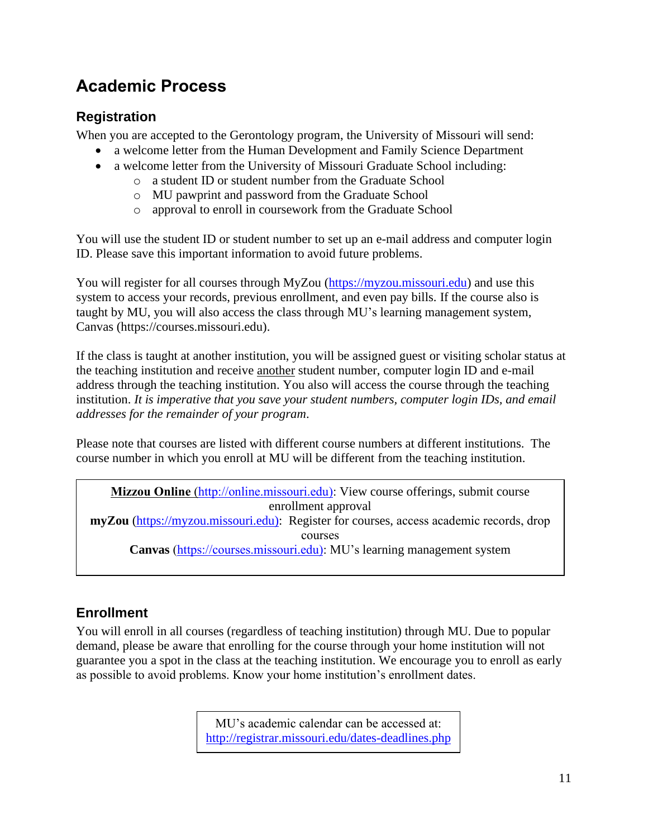# <span id="page-10-0"></span>**Academic Process**

# <span id="page-10-1"></span>**Registration**

When you are accepted to the Gerontology program, the University of Missouri will send:

- a welcome letter from the Human Development and Family Science Department
- a welcome letter from the University of Missouri Graduate School including:
	- o a student ID or student number from the Graduate School
	- o MU pawprint and password from the Graduate School
	- o approval to enroll in coursework from the Graduate School

You will use the student ID or student number to set up an e-mail address and computer login ID. Please save this important information to avoid future problems.

You will register for all courses through MyZou [\(https://myzou.missouri.edu\)](https://myzou.missouri.edu/) and use this system to access your records, previous enrollment, and even pay bills. If the course also is taught by MU, you will also access the class through MU's learning management system, Canvas (https://courses.missouri.edu).

If the class is taught at another institution, you will be assigned guest or visiting scholar status at the teaching institution and receive another student number, computer login ID and e-mail address through the teaching institution. You also will access the course through the teaching institution. *It is imperative that you save your student numbers, computer login IDs, and email addresses for the remainder of your program*.

Please note that courses are listed with different course numbers at different institutions. The course number in which you enroll at MU will be different from the teaching institution.

**Mizzou Online** [\(http://online.missouri.edu\):](http://online.missouri.edu)/) View course offerings, submit course enrollment approval **myZou** [\(https://myzou.missouri.edu\):](https://myzou.missouri.edu)/) Register for courses, access academic records, drop courses **Canvas** [\(https://courses.missouri.edu\):](https://courses.missouri.edu)/) MU's learning management system

# <span id="page-10-2"></span>**Enrollment**

You will enroll in all courses (regardless of teaching institution) through MU. Due to popular demand, please be aware that enrolling for the course through your home institution will not guarantee you a spot in the class at the teaching institution. We encourage you to enroll as early as possible to avoid problems. Know your home institution's enrollment dates.

> MU's academic calendar can be accessed at: <http://registrar.missouri.edu/dates-deadlines.php>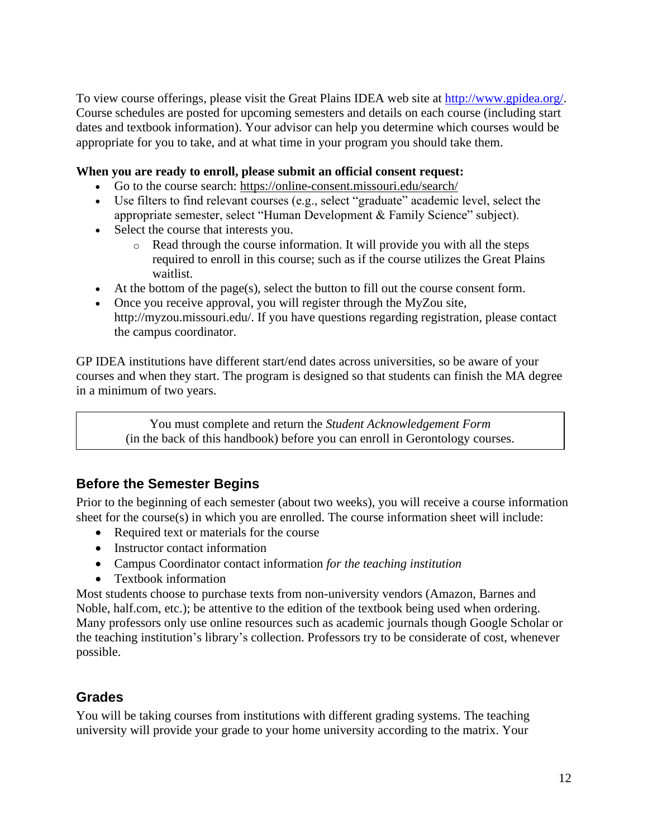To view course offerings, please visit the Great Plains IDEA web site at [http://www.gpidea.org/.](http://www.gpidea.org/) Course schedules are posted for upcoming semesters and details on each course (including start dates and textbook information). Your advisor can help you determine which courses would be appropriate for you to take, and at what time in your program you should take them.

#### **When you are ready to enroll, please submit an official consent request:**

- Go to the course search: <https://online-consent.missouri.edu/search/>
- Use filters to find relevant courses (e.g., select "graduate" academic level, select the appropriate semester, select "Human Development & Family Science" subject).
- Select the course that interests you.
	- o Read through the course information. It will provide you with all the steps required to enroll in this course; such as if the course utilizes the Great Plains waitlist.
- At the bottom of the page(s), select the button to fill out the course consent form.
- Once you receive approval, you will register through the MyZou site, http://myzou.missouri.edu/. If you have questions regarding registration, please contact the campus coordinator.

GP IDEA institutions have different start/end dates across universities, so be aware of your courses and when they start. The program is designed so that students can finish the MA degree in a minimum of two years.

> You must complete and return the *Student Acknowledgement Form* (in the back of this handbook) before you can enroll in Gerontology courses.

# <span id="page-11-0"></span>**Before the Semester Begins**

Prior to the beginning of each semester (about two weeks), you will receive a course information sheet for the course(s) in which you are enrolled. The course information sheet will include:

- Required text or materials for the course
- Instructor contact information
- Campus Coordinator contact information *for the teaching institution*
- Textbook information

Most students choose to purchase texts from non-university vendors (Amazon, Barnes and Noble, half.com, etc.); be attentive to the edition of the textbook being used when ordering. Many professors only use online resources such as academic journals though Google Scholar or the teaching institution's library's collection. Professors try to be considerate of cost, whenever possible.

### <span id="page-11-1"></span>**Grades**

You will be taking courses from institutions with different grading systems. The teaching university will provide your grade to your home university according to the matrix. Your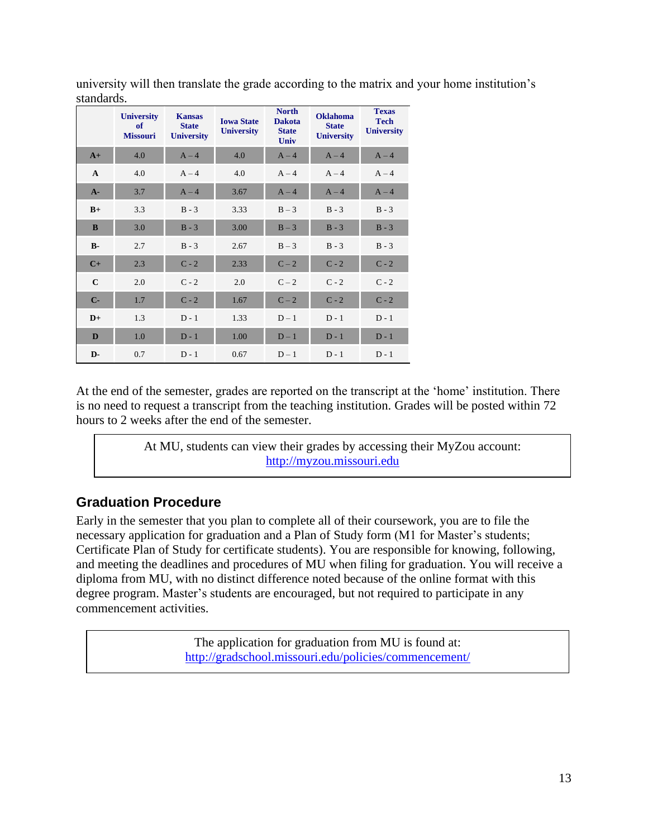|              | <b>University</b><br>of<br><b>Missouri</b> | <b>Kansas</b><br><b>State</b><br><b>University</b> | <b>Iowa State</b><br><b>University</b> | <b>North</b><br><b>Dakota</b><br><b>State</b><br><b>Univ</b> | <b>Oklahoma</b><br><b>State</b><br><b>University</b> | <b>Texas</b><br><b>Tech</b><br><b>University</b> |
|--------------|--------------------------------------------|----------------------------------------------------|----------------------------------------|--------------------------------------------------------------|------------------------------------------------------|--------------------------------------------------|
| $A+$         | 4.0                                        | $A - 4$                                            | 4.0                                    | $A - 4$                                                      | $A - 4$                                              | $A - 4$                                          |
| $\mathbf{A}$ | 4.0                                        | $A - 4$                                            | 4.0                                    | $A - 4$                                                      | $A - 4$                                              | $A - 4$                                          |
| $A -$        | 3.7                                        | $A - 4$                                            | 3.67                                   | $A - 4$                                                      | $A - 4$                                              | $A - 4$                                          |
| $B+$         | 3.3                                        | $B - 3$                                            | 3.33                                   | $B-3$                                                        | $B - 3$                                              | $B - 3$                                          |
| B            | 3.0                                        | $B - 3$                                            | 3.00                                   | $B - 3$                                                      | $B - 3$                                              | $B - 3$                                          |
| $B -$        | 2.7                                        | $B - 3$                                            | 2.67                                   | $B-3$                                                        | $B - 3$                                              | $B - 3$                                          |
| $C+$         | 2.3                                        | $C - 2$                                            | 2.33                                   | $C-2$                                                        | $C - 2$                                              | $C - 2$                                          |
| $\mathbf C$  | 2.0                                        | $C - 2$                                            | 2.0                                    | $C-2$                                                        | $C - 2$                                              | $C - 2$                                          |
| $C -$        | 1.7                                        | $C - 2$                                            | 1.67                                   | $C-2$                                                        | $C - 2$                                              | $C - 2$                                          |
| $D+$         | 1.3                                        | $D - 1$                                            | 1.33                                   | $D-1$                                                        | $D - 1$                                              | $D - 1$                                          |
| D            | 1.0                                        | $D - 1$                                            | 1.00                                   | $D-1$                                                        | $D - 1$                                              | $D - 1$                                          |
| $D-$         | 0.7                                        | $D - 1$                                            | 0.67                                   | $D-1$                                                        | $D - 1$                                              | $D - 1$                                          |

university will then translate the grade according to the matrix and your home institution's standards.

At the end of the semester, grades are reported on the transcript at the 'home' institution. There is no need to request a transcript from the teaching institution. Grades will be posted within 72 hours to 2 weeks after the end of the semester.

> At MU, students can view their grades by accessing their MyZou account: [http://myzou.missouri.edu](http://myzou.missouri.edu/)

# <span id="page-12-0"></span>**Graduation Procedure**

Early in the semester that you plan to complete all of their coursework, you are to file the necessary application for graduation and a Plan of Study form (M1 for Master's students; Certificate Plan of Study for certificate students). You are responsible for knowing, following, and meeting the deadlines and procedures of MU when filing for graduation. You will receive a diploma from MU, with no distinct difference noted because of the online format with this degree program. Master's students are encouraged, but not required to participate in any commencement activities.

> The application for graduation from MU is found at: <http://gradschool.missouri.edu/policies/commencement/>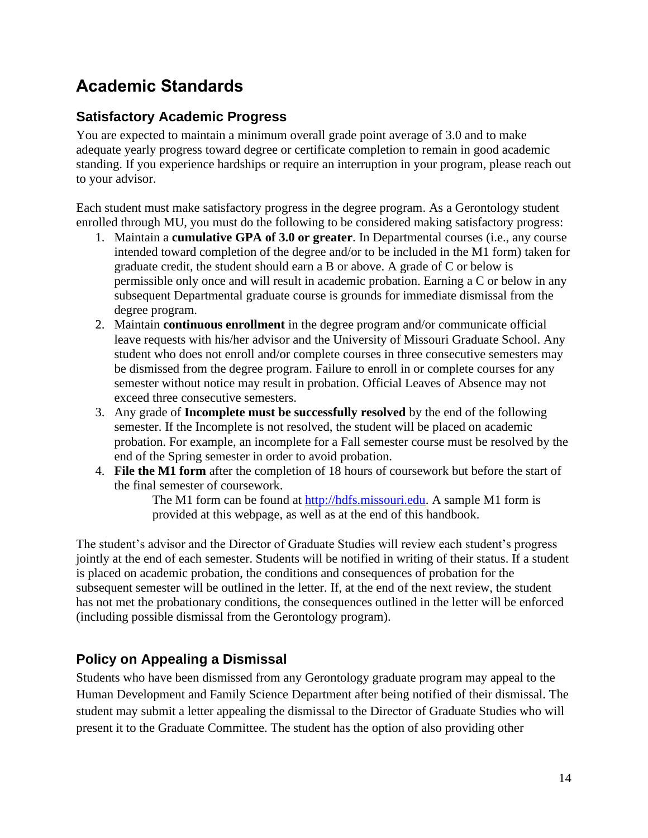# <span id="page-13-0"></span>**Academic Standards**

# <span id="page-13-1"></span>**Satisfactory Academic Progress**

You are expected to maintain a minimum overall grade point average of 3.0 and to make adequate yearly progress toward degree or certificate completion to remain in good academic standing. If you experience hardships or require an interruption in your program, please reach out to your advisor.

Each student must make satisfactory progress in the degree program. As a Gerontology student enrolled through MU, you must do the following to be considered making satisfactory progress:

- 1. Maintain a **cumulative GPA of 3.0 or greater**. In Departmental courses (i.e., any course intended toward completion of the degree and/or to be included in the M1 form) taken for graduate credit, the student should earn a B or above. A grade of C or below is permissible only once and will result in academic probation. Earning a C or below in any subsequent Departmental graduate course is grounds for immediate dismissal from the degree program.
- 2. Maintain **continuous enrollment** in the degree program and/or communicate official leave requests with his/her advisor and the University of Missouri Graduate School. Any student who does not enroll and/or complete courses in three consecutive semesters may be dismissed from the degree program. Failure to enroll in or complete courses for any semester without notice may result in probation. Official Leaves of Absence may not exceed three consecutive semesters.
- 3. Any grade of **Incomplete must be successfully resolved** by the end of the following semester. If the Incomplete is not resolved, the student will be placed on academic probation. For example, an incomplete for a Fall semester course must be resolved by the end of the Spring semester in order to avoid probation.
- 4. **File the M1 form** after the completion of 18 hours of coursework but before the start of the final semester of coursework.

The M1 form can be found at [http://hdfs.missouri.edu.](http://hdfs.missouri.edu/) A sample M1 form is provided at this webpage, as well as at the end of this handbook.

The student's advisor and the Director of Graduate Studies will review each student's progress jointly at the end of each semester. Students will be notified in writing of their status. If a student is placed on academic probation, the conditions and consequences of probation for the subsequent semester will be outlined in the letter. If, at the end of the next review, the student has not met the probationary conditions, the consequences outlined in the letter will be enforced (including possible dismissal from the Gerontology program).

# <span id="page-13-2"></span>**Policy on Appealing a Dismissal**

Students who have been dismissed from any Gerontology graduate program may appeal to the Human Development and Family Science Department after being notified of their dismissal. The student may submit a letter appealing the dismissal to the Director of Graduate Studies who will present it to the Graduate Committee. The student has the option of also providing other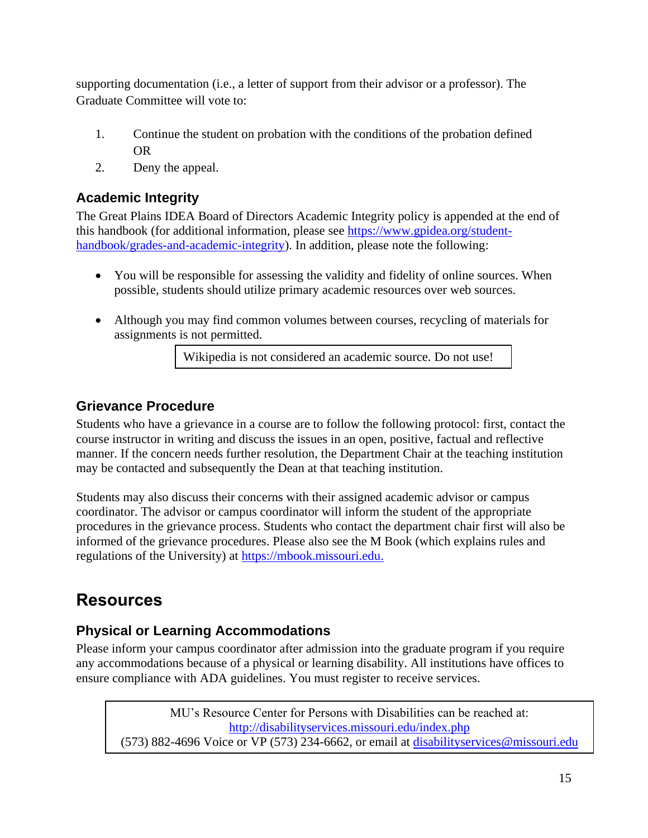supporting documentation (i.e., a letter of support from their advisor or a professor). The Graduate Committee will vote to:

- 1. Continue the student on probation with the conditions of the probation defined OR
- 2. Deny the appeal.

# <span id="page-14-0"></span>**Academic Integrity**

The Great Plains IDEA Board of Directors Academic Integrity policy is appended at the end of this handbook (for additional information, please see [https://www.gpidea.org/student](https://www.gpidea.org/student-handbook/grades-and-academic-integrity)[handbook/grades-and-academic-integrity\)](https://www.gpidea.org/student-handbook/grades-and-academic-integrity). In addition, please note the following:

- You will be responsible for assessing the validity and fidelity of online sources. When possible, students should utilize primary academic resources over web sources.
- Although you may find common volumes between courses, recycling of materials for assignments is not permitted.

Wikipedia is not considered an academic source. Do not use!

### <span id="page-14-1"></span>**Grievance Procedure**

Students who have a grievance in a course are to follow the following protocol: first, contact the course instructor in writing and discuss the issues in an open, positive, factual and reflective manner. If the concern needs further resolution, the Department Chair at the teaching institution may be contacted and subsequently the Dean at that teaching institution.

Students may also discuss their concerns with their assigned academic advisor or campus coordinator. The advisor or campus coordinator will inform the student of the appropriate procedures in the grievance process. Students who contact the department chair first will also be informed of the grievance procedures. Please also see the M Book (which explains rules and regulations of the University) at [https://mbook.missouri.edu.](https://mbook.missouri.edu/)

# <span id="page-14-2"></span>**Resources**

# <span id="page-14-3"></span>**Physical or Learning Accommodations**

Please inform your campus coordinator after admission into the graduate program if you require any accommodations because of a physical or learning disability. All institutions have offices to ensure compliance with ADA guidelines. You must register to receive services.

MU's Resource Center for Persons with Disabilities can be reached at: <http://disabilityservices.missouri.edu/index.php> (573) 882-4696 Voice or VP (573) 234-6662, or email at [disabilityservices@missouri.edu](mailto:disabilityservices@missouri.edu)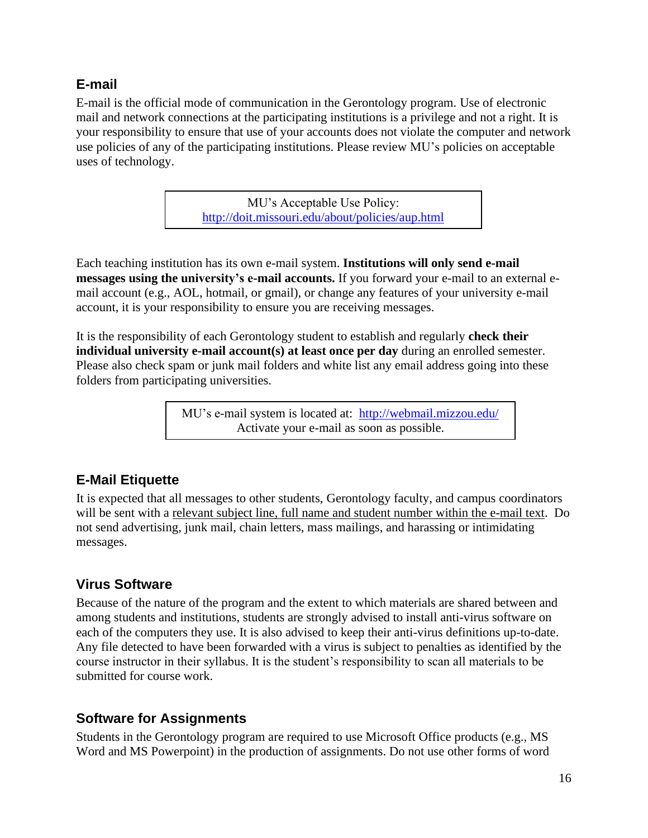### <span id="page-15-0"></span>**E-mail**

E-mail is the official mode of communication in the Gerontology program. Use of electronic mail and network connections at the participating institutions is a privilege and not a right. It is your responsibility to ensure that use of your accounts does not violate the computer and network use policies of any of the participating institutions. Please review MU's policies on acceptable uses of technology.

> MU's Acceptable Use Policy: <http://doit.missouri.edu/about/policies/aup.html>

Each teaching institution has its own e-mail system. **Institutions will only send e-mail messages using the university's e-mail accounts.** If you forward your e-mail to an external email account (e.g., AOL, hotmail, or gmail), or change any features of your university e-mail account, it is your responsibility to ensure you are receiving messages.

It is the responsibility of each Gerontology student to establish and regularly **check their individual university e-mail account(s) at least once per day** during an enrolled semester. Please also check spam or junk mail folders and white list any email address going into these folders from participating universities.

> MU's e-mail system is located at: <http://webmail.mizzou.edu/> Activate your e-mail as soon as possible.

# <span id="page-15-1"></span>**E-Mail Etiquette**

It is expected that all messages to other students, Gerontology faculty, and campus coordinators will be sent with a relevant subject line, full name and student number within the e-mail text. Do not send advertising, junk mail, chain letters, mass mailings, and harassing or intimidating messages.

# <span id="page-15-2"></span>**Virus Software**

Because of the nature of the program and the extent to which materials are shared between and among students and institutions, students are strongly advised to install anti-virus software on each of the computers they use. It is also advised to keep their anti-virus definitions up-to-date. Any file detected to have been forwarded with a virus is subject to penalties as identified by the course instructor in their syllabus. It is the student's responsibility to scan all materials to be submitted for course work.

### <span id="page-15-3"></span>**Software for Assignments**

Students in the Gerontology program are required to use Microsoft Office products (e.g., MS Word and MS Powerpoint) in the production of assignments. Do not use other forms of word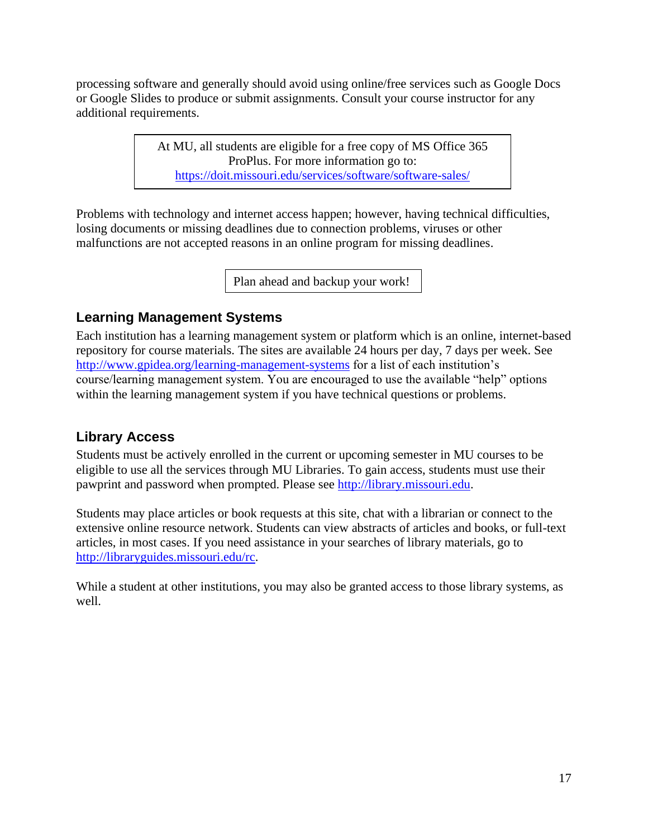processing software and generally should avoid using online/free services such as Google Docs or Google Slides to produce or submit assignments. Consult your course instructor for any additional requirements.

> At MU, all students are eligible for a free copy of MS Office 365 ProPlus. For more information go to: <https://doit.missouri.edu/services/software/software-sales/>

Problems with technology and internet access happen; however, having technical difficulties, losing documents or missing deadlines due to connection problems, viruses or other malfunctions are not accepted reasons in an online program for missing deadlines.

Plan ahead and backup your work!

### <span id="page-16-0"></span>**Learning Management Systems**

Each institution has a learning management system or platform which is an online, internet-based repository for course materials. The sites are available 24 hours per day, 7 days per week. See <http://www.gpidea.org/learning-management-systems> for a list of each institution's course/learning management system. You are encouraged to use the available "help" options within the learning management system if you have technical questions or problems.

### <span id="page-16-1"></span>**Library Access**

Students must be actively enrolled in the current or upcoming semester in MU courses to be eligible to use all the services through MU Libraries. To gain access, students must use their pawprint and password when prompted. Please see [http://library.missouri.edu.](http://library.missouri.edu/)

Students may place articles or book requests at this site, chat with a librarian or connect to the extensive online resource network. Students can view abstracts of articles and books, or full-text articles, in most cases. If you need assistance in your searches of library materials, go to [http://libraryguides.missouri.edu/rc.](http://libraryguides.missouri.edu/rc)

While a student at other institutions, you may also be granted access to those library systems, as well.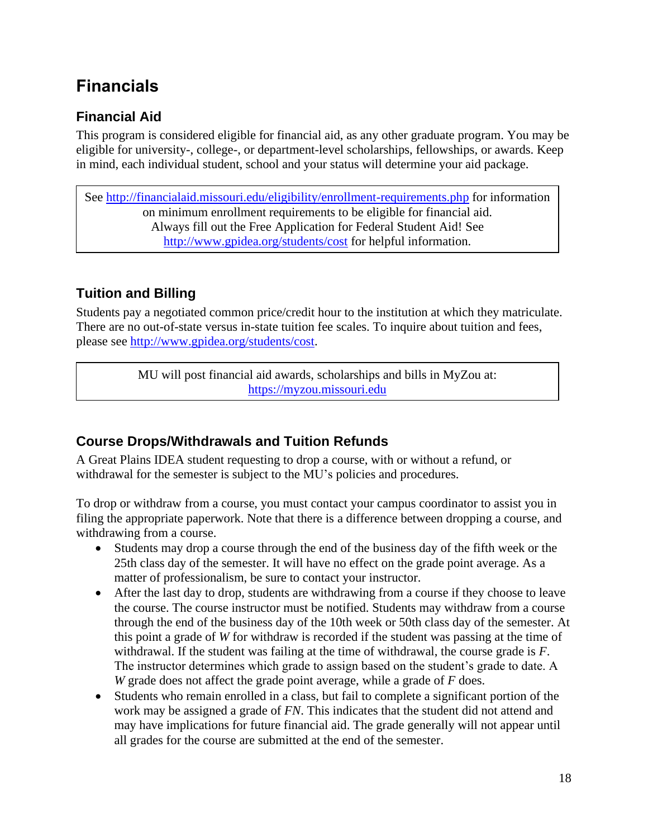# <span id="page-17-0"></span>**Financials**

# <span id="page-17-1"></span>**Financial Aid**

This program is considered eligible for financial aid, as any other graduate program. You may be eligible for university-, college-, or department-level scholarships, fellowships, or awards. Keep in mind, each individual student, school and your status will determine your aid package.

See<http://financialaid.missouri.edu/eligibility/enrollment-requirements.php> for information on minimum enrollment requirements to be eligible for financial aid. Always fill out the Free Application for Federal Student Aid! See <http://www.gpidea.org/students/cost> for helpful information.

# <span id="page-17-2"></span>**Tuition and Billing**

Students pay a negotiated common price/credit hour to the institution at which they matriculate. There are no out-of-state versus in-state tuition fee scales. To inquire about tuition and fees, please see [http://www.gpidea.org/students/cost.](http://www.gpidea.org/students/cost)

> MU will post financial aid awards, scholarships and bills in MyZou at: [https://myzou.missouri.edu](https://myzou.missouri.edu/)

# <span id="page-17-3"></span>**Course Drops/Withdrawals and Tuition Refunds**

A Great Plains IDEA student requesting to drop a course, with or without a refund, or withdrawal for the semester is subject to the MU's policies and procedures.

To drop or withdraw from a course, you must contact your campus coordinator to assist you in filing the appropriate paperwork. Note that there is a difference between dropping a course, and withdrawing from a course.

- Students may drop a course through the end of the business day of the fifth week or the 25th class day of the semester. It will have no effect on the grade point average. As a matter of professionalism, be sure to contact your instructor.
- After the last day to drop, students are withdrawing from a course if they choose to leave the course. The course instructor must be notified. Students may withdraw from a course through the end of the business day of the 10th week or 50th class day of the semester. At this point a grade of *W* for withdraw is recorded if the student was passing at the time of withdrawal. If the student was failing at the time of withdrawal, the course grade is *F*. The instructor determines which grade to assign based on the student's grade to date. A *W* grade does not affect the grade point average, while a grade of *F* does.
- Students who remain enrolled in a class, but fail to complete a significant portion of the work may be assigned a grade of *FN*. This indicates that the student did not attend and may have implications for future financial aid. The grade generally will not appear until all grades for the course are submitted at the end of the semester.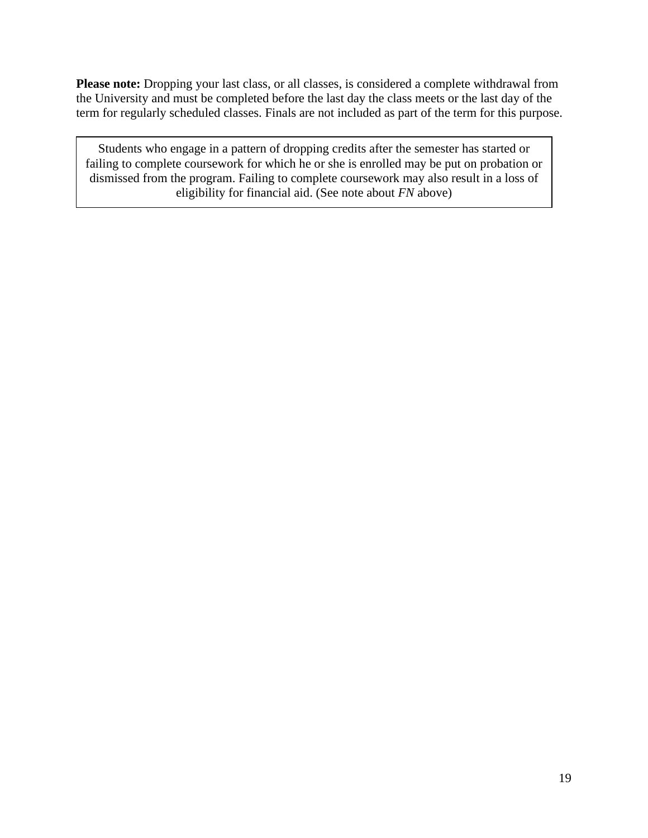**Please note:** Dropping your last class, or all classes, is considered a complete withdrawal from the University and must be completed before the last day the class meets or the last day of the term for regularly scheduled classes. Finals are not included as part of the term for this purpose.

Students who engage in a pattern of dropping credits after the semester has started or failing to complete coursework for which he or she is enrolled may be put on probation or dismissed from the program. Failing to complete coursework may also result in a loss of eligibility for financial aid. (See note about *FN* above)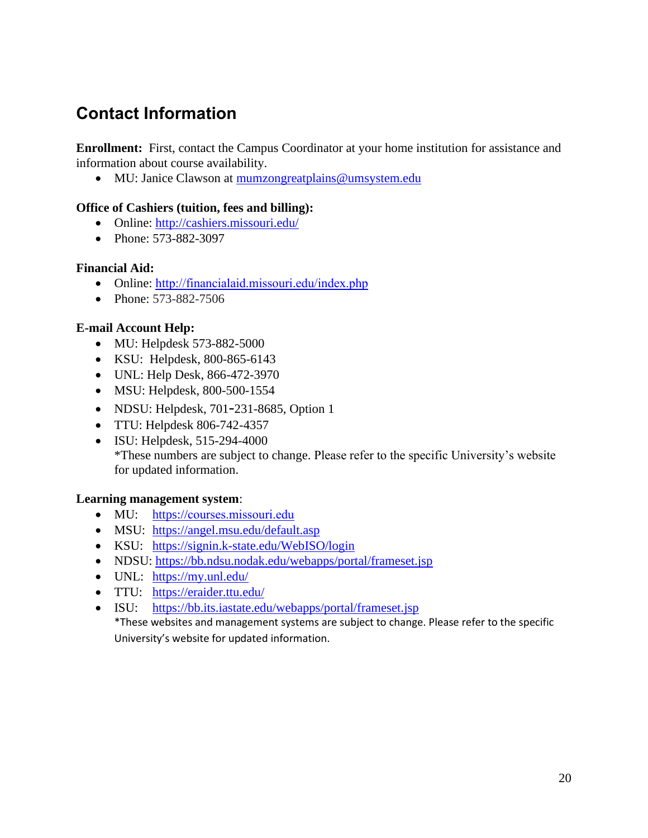# <span id="page-19-0"></span>**Contact Information**

**Enrollment:** First, contact the Campus Coordinator at your home institution for assistance and information about course availability.

• MU: Janice Clawson at [mumzongreatplains@umsystem.edu](mailto:mumzongreatplains@umsystem.edu)

#### **Office of Cashiers (tuition, fees and billing):**

- Online:<http://cashiers.missouri.edu/>
- Phone: 573-882-3097

#### **Financial Aid:**

- Online: <http://financialaid.missouri.edu/index.php>
- Phone: 573-882-7506

#### **E-mail Account Help:**

- MU: Helpdesk 573-882-5000
- KSU: Helpdesk, 800-865-6143
- UNL: Help Desk, 866-472-3970
- MSU: Helpdesk, 800-500-1554
- NDSU: Helpdesk, 701-231-8685, Option 1
- TTU: Helpdesk 806-742-4357
- ISU: Helpdesk, 515-294-4000 \*These numbers are subject to change. Please refer to the specific University's website for updated information.

#### **Learning management system**:

- MU: https://[courses.missouri.edu](https://courses.missouri.edu/)
- MSU: <https://angel.msu.edu/default.asp>
- KSU: <https://signin.k-state.edu/WebISO/login>
- NDSU:<https://bb.ndsu.nodak.edu/webapps/portal/frameset.jsp>
- UNL: <https://my.unl.edu/>
- TTU: <https://eraider.ttu.edu/>
- ISU: <https://bb.its.iastate.edu/webapps/portal/frameset.jsp>

\*These websites and management systems are subject to change. Please refer to the specific University's website for updated information.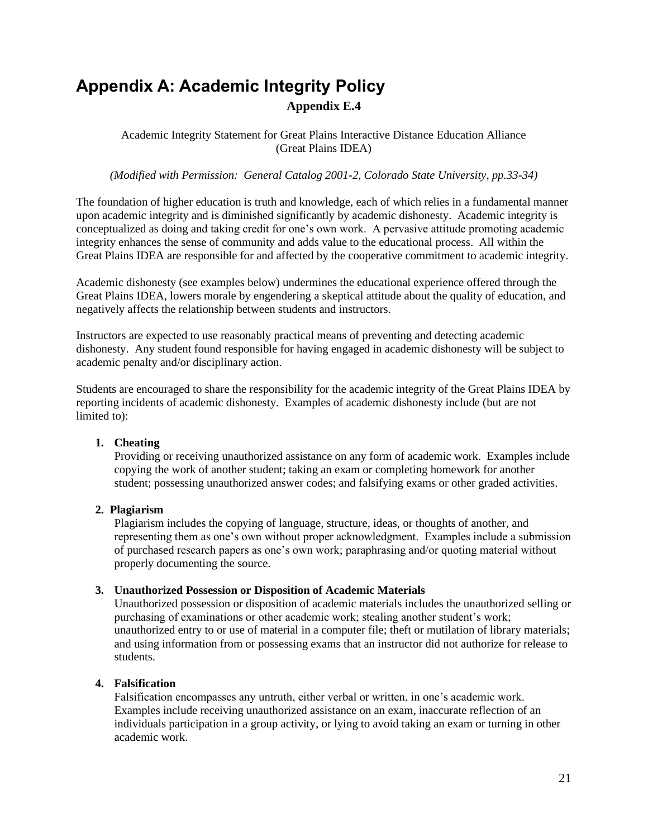# <span id="page-20-0"></span>**Appendix A: Academic Integrity Policy Appendix E.4**

Academic Integrity Statement for Great Plains Interactive Distance Education Alliance (Great Plains IDEA)

*(Modified with Permission: General Catalog 2001-2, Colorado State University, pp.33-34)*

The foundation of higher education is truth and knowledge, each of which relies in a fundamental manner upon academic integrity and is diminished significantly by academic dishonesty. Academic integrity is conceptualized as doing and taking credit for one's own work. A pervasive attitude promoting academic integrity enhances the sense of community and adds value to the educational process. All within the Great Plains IDEA are responsible for and affected by the cooperative commitment to academic integrity.

Academic dishonesty (see examples below) undermines the educational experience offered through the Great Plains IDEA, lowers morale by engendering a skeptical attitude about the quality of education, and negatively affects the relationship between students and instructors.

Instructors are expected to use reasonably practical means of preventing and detecting academic dishonesty. Any student found responsible for having engaged in academic dishonesty will be subject to academic penalty and/or disciplinary action.

Students are encouraged to share the responsibility for the academic integrity of the Great Plains IDEA by reporting incidents of academic dishonesty. Examples of academic dishonesty include (but are not limited to):

#### **1. Cheating**

Providing or receiving unauthorized assistance on any form of academic work. Examples include copying the work of another student; taking an exam or completing homework for another student; possessing unauthorized answer codes; and falsifying exams or other graded activities.

#### **2. Plagiarism**

Plagiarism includes the copying of language, structure, ideas, or thoughts of another, and representing them as one's own without proper acknowledgment. Examples include a submission of purchased research papers as one's own work; paraphrasing and/or quoting material without properly documenting the source.

#### **3. Unauthorized Possession or Disposition of Academic Materials**

Unauthorized possession or disposition of academic materials includes the unauthorized selling or purchasing of examinations or other academic work; stealing another student's work; unauthorized entry to or use of material in a computer file; theft or mutilation of library materials; and using information from or possessing exams that an instructor did not authorize for release to students.

#### **4. Falsification**

Falsification encompasses any untruth, either verbal or written, in one's academic work. Examples include receiving unauthorized assistance on an exam, inaccurate reflection of an individuals participation in a group activity, or lying to avoid taking an exam or turning in other academic work.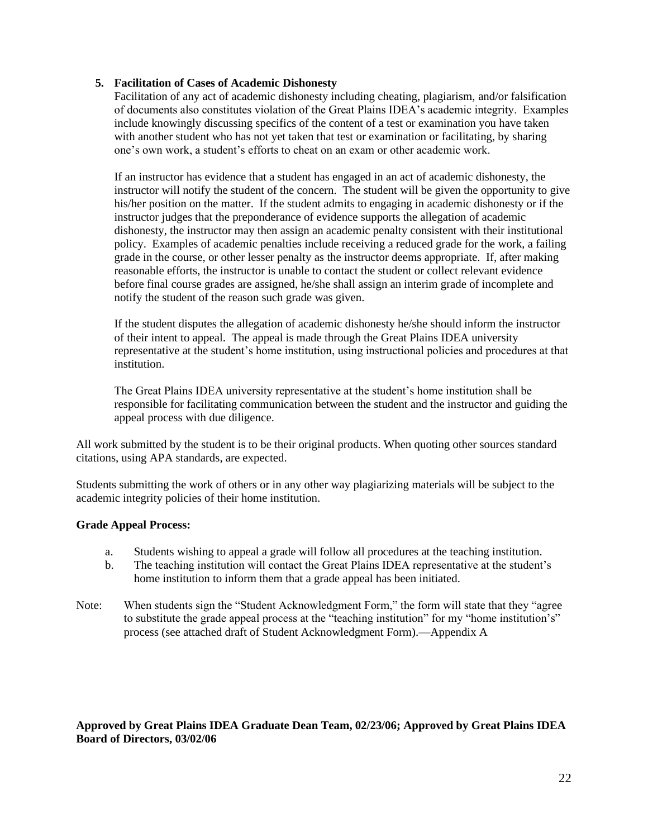#### **5. Facilitation of Cases of Academic Dishonesty**

Facilitation of any act of academic dishonesty including cheating, plagiarism, and/or falsification of documents also constitutes violation of the Great Plains IDEA's academic integrity. Examples include knowingly discussing specifics of the content of a test or examination you have taken with another student who has not yet taken that test or examination or facilitating, by sharing one's own work, a student's efforts to cheat on an exam or other academic work.

If an instructor has evidence that a student has engaged in an act of academic dishonesty, the instructor will notify the student of the concern. The student will be given the opportunity to give his/her position on the matter. If the student admits to engaging in academic dishonesty or if the instructor judges that the preponderance of evidence supports the allegation of academic dishonesty, the instructor may then assign an academic penalty consistent with their institutional policy. Examples of academic penalties include receiving a reduced grade for the work, a failing grade in the course, or other lesser penalty as the instructor deems appropriate. If, after making reasonable efforts, the instructor is unable to contact the student or collect relevant evidence before final course grades are assigned, he/she shall assign an interim grade of incomplete and notify the student of the reason such grade was given.

If the student disputes the allegation of academic dishonesty he/she should inform the instructor of their intent to appeal. The appeal is made through the Great Plains IDEA university representative at the student's home institution, using instructional policies and procedures at that institution.

The Great Plains IDEA university representative at the student's home institution shall be responsible for facilitating communication between the student and the instructor and guiding the appeal process with due diligence.

All work submitted by the student is to be their original products. When quoting other sources standard citations, using APA standards, are expected.

Students submitting the work of others or in any other way plagiarizing materials will be subject to the academic integrity policies of their home institution.

#### **Grade Appeal Process:**

- a. Students wishing to appeal a grade will follow all procedures at the teaching institution.
- b. The teaching institution will contact the Great Plains IDEA representative at the student's home institution to inform them that a grade appeal has been initiated.
- Note: When students sign the "Student Acknowledgment Form," the form will state that they "agree to substitute the grade appeal process at the "teaching institution" for my "home institution's" process (see attached draft of Student Acknowledgment Form).—Appendix A

#### **Approved by Great Plains IDEA Graduate Dean Team, 02/23/06; Approved by Great Plains IDEA Board of Directors, 03/02/06**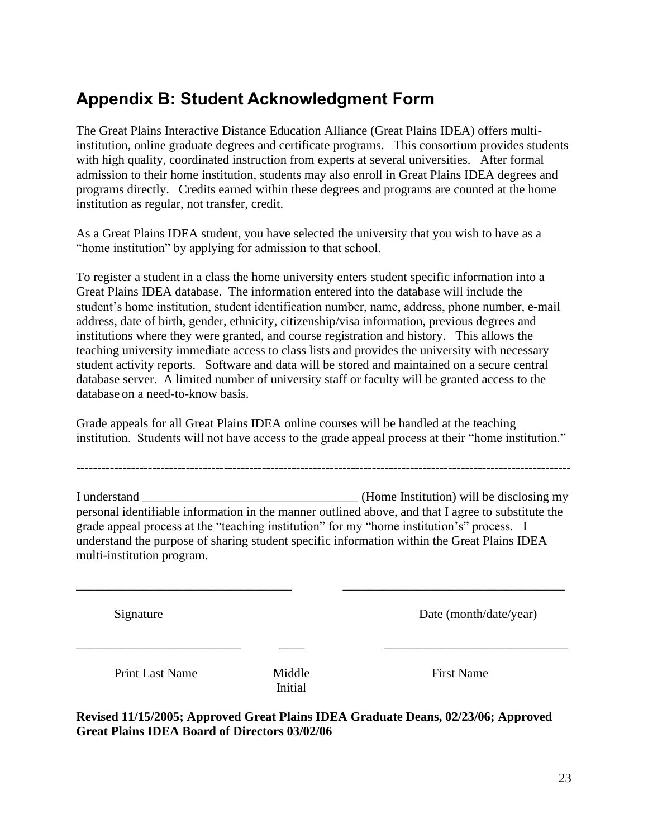# <span id="page-22-0"></span>**Appendix B: Student Acknowledgment Form**

The Great Plains Interactive Distance Education Alliance (Great Plains IDEA) offers multiinstitution, online graduate degrees and certificate programs. This consortium provides students with high quality, coordinated instruction from experts at several universities. After formal admission to their home institution, students may also enroll in Great Plains IDEA degrees and programs directly. Credits earned within these degrees and programs are counted at the home institution as regular, not transfer, credit.

As a Great Plains IDEA student, you have selected the university that you wish to have as a "home institution" by applying for admission to that school.

To register a student in a class the home university enters student specific information into a Great Plains IDEA database. The information entered into the database will include the student's home institution, student identification number, name, address, phone number, e-mail address, date of birth, gender, ethnicity, citizenship/visa information, previous degrees and institutions where they were granted, and course registration and history. This allows the teaching university immediate access to class lists and provides the university with necessary student activity reports. Software and data will be stored and maintained on a secure central database server. A limited number of university staff or faculty will be granted access to the database on a need-to-know basis.

Grade appeals for all Great Plains IDEA online courses will be handled at the teaching institution. Students will not have access to the grade appeal process at their "home institution."

---------------------------------------------------------------------------------------------------------------------

I understand \_\_\_\_\_\_\_\_\_\_\_\_\_\_\_\_\_\_\_\_\_\_\_\_\_\_\_\_\_\_\_\_\_\_ (Home Institution) will be disclosing my personal identifiable information in the manner outlined above, and that I agree to substitute the grade appeal process at the "teaching institution" for my "home institution's" process. I understand the purpose of sharing student specific information within the Great Plains IDEA multi-institution program.

\_\_\_\_\_\_\_\_\_\_\_\_\_\_\_\_\_\_\_\_\_\_\_\_\_\_\_\_\_\_\_\_\_\_ \_\_\_\_\_\_\_\_\_\_\_\_\_\_\_\_\_\_\_\_\_\_\_\_\_\_\_\_\_\_\_\_\_\_\_

 $\frac{1}{2}$  ,  $\frac{1}{2}$  ,  $\frac{1}{2}$  ,  $\frac{1}{2}$  ,  $\frac{1}{2}$  ,  $\frac{1}{2}$  ,  $\frac{1}{2}$  ,  $\frac{1}{2}$  ,  $\frac{1}{2}$  ,  $\frac{1}{2}$  ,  $\frac{1}{2}$  ,  $\frac{1}{2}$  ,  $\frac{1}{2}$  ,  $\frac{1}{2}$  ,  $\frac{1}{2}$  ,  $\frac{1}{2}$  ,  $\frac{1}{2}$  ,  $\frac{1}{2}$  ,  $\frac{1$ 

Signature Date (month/date/year)

Print Last Name Middle First Name

Initial

**Revised 11/15/2005; Approved Great Plains IDEA Graduate Deans, 02/23/06; Approved Great Plains IDEA Board of Directors 03/02/06**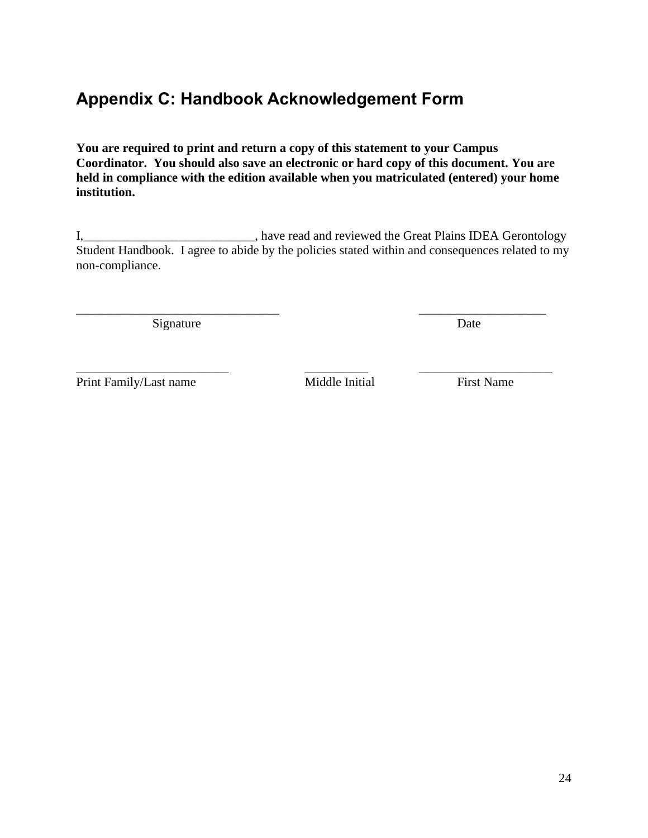# <span id="page-23-0"></span>**Appendix C: Handbook Acknowledgement Form**

**You are required to print and return a copy of this statement to your Campus Coordinator. You should also save an electronic or hard copy of this document. You are held in compliance with the edition available when you matriculated (entered) your home institution.** 

I, 1. 2012 1. The Secret Assembly the Great Plains IDEA Gerontology and reviewed the Great Plains IDEA Gerontology Student Handbook. I agree to abide by the policies stated within and consequences related to my non-compliance.

\_\_\_\_\_\_\_\_\_\_\_\_\_\_\_\_\_\_\_\_\_\_\_\_\_\_\_\_\_\_\_\_ \_\_\_\_\_\_\_\_\_\_\_\_\_\_\_\_\_\_\_\_

\_\_\_\_\_\_\_\_\_\_\_\_\_\_\_\_\_\_\_\_\_\_\_\_ \_\_\_\_\_\_\_\_\_\_ \_\_\_\_\_\_\_\_\_\_\_\_\_\_\_\_\_\_\_\_\_

Signature Date

Print Family/Last name Middle Initial First Name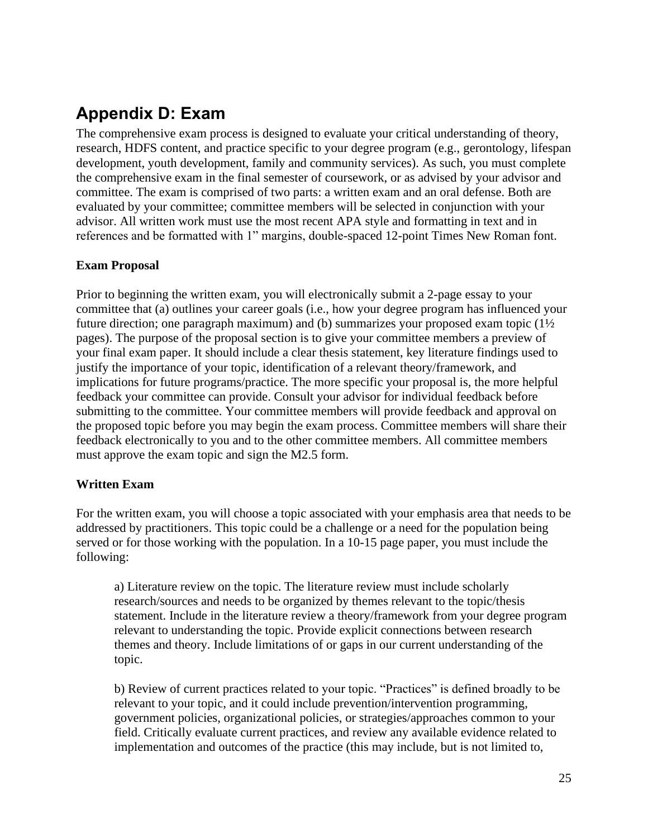# <span id="page-24-0"></span>**Appendix D: Exam**

The comprehensive exam process is designed to evaluate your critical understanding of theory, research, HDFS content, and practice specific to your degree program (e.g., gerontology, lifespan development, youth development, family and community services). As such, you must complete the comprehensive exam in the final semester of coursework, or as advised by your advisor and committee. The exam is comprised of two parts: a written exam and an oral defense. Both are evaluated by your committee; committee members will be selected in conjunction with your advisor. All written work must use the most recent APA style and formatting in text and in references and be formatted with 1" margins, double-spaced 12-point Times New Roman font.

### **Exam Proposal**

Prior to beginning the written exam, you will electronically submit a 2-page essay to your committee that (a) outlines your career goals (i.e., how your degree program has influenced your future direction; one paragraph maximum) and (b) summarizes your proposed exam topic  $(1\frac{1}{2})$ pages). The purpose of the proposal section is to give your committee members a preview of your final exam paper. It should include a clear thesis statement, key literature findings used to justify the importance of your topic, identification of a relevant theory/framework, and implications for future programs/practice. The more specific your proposal is, the more helpful feedback your committee can provide. Consult your advisor for individual feedback before submitting to the committee. Your committee members will provide feedback and approval on the proposed topic before you may begin the exam process. Committee members will share their feedback electronically to you and to the other committee members. All committee members must approve the exam topic and sign the M2.5 form.

#### **Written Exam**

For the written exam, you will choose a topic associated with your emphasis area that needs to be addressed by practitioners. This topic could be a challenge or a need for the population being served or for those working with the population. In a 10-15 page paper, you must include the following:

a) Literature review on the topic. The literature review must include scholarly research/sources and needs to be organized by themes relevant to the topic/thesis statement. Include in the literature review a theory/framework from your degree program relevant to understanding the topic. Provide explicit connections between research themes and theory. Include limitations of or gaps in our current understanding of the topic.

b) Review of current practices related to your topic. "Practices" is defined broadly to be relevant to your topic, and it could include prevention/intervention programming, government policies, organizational policies, or strategies/approaches common to your field. Critically evaluate current practices, and review any available evidence related to implementation and outcomes of the practice (this may include, but is not limited to,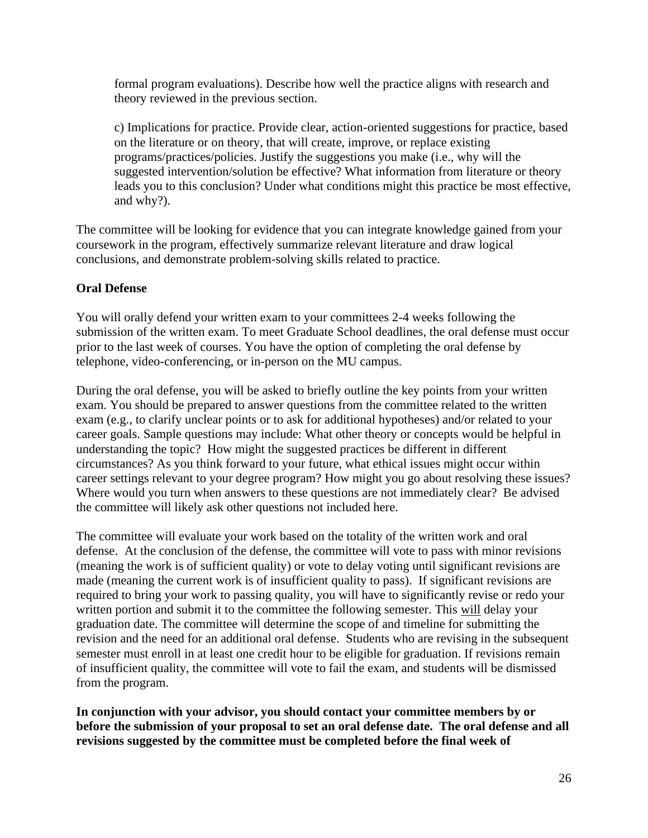formal program evaluations). Describe how well the practice aligns with research and theory reviewed in the previous section.

c) Implications for practice. Provide clear, action-oriented suggestions for practice, based on the literature or on theory, that will create, improve, or replace existing programs/practices/policies. Justify the suggestions you make (i.e., why will the suggested intervention/solution be effective? What information from literature or theory leads you to this conclusion? Under what conditions might this practice be most effective, and why?).

The committee will be looking for evidence that you can integrate knowledge gained from your coursework in the program, effectively summarize relevant literature and draw logical conclusions, and demonstrate problem-solving skills related to practice.

#### **Oral Defense**

You will orally defend your written exam to your committees 2-4 weeks following the submission of the written exam. To meet Graduate School deadlines, the oral defense must occur prior to the last week of courses. You have the option of completing the oral defense by telephone, video-conferencing, or in-person on the MU campus.

During the oral defense, you will be asked to briefly outline the key points from your written exam. You should be prepared to answer questions from the committee related to the written exam (e.g., to clarify unclear points or to ask for additional hypotheses) and/or related to your career goals. Sample questions may include: What other theory or concepts would be helpful in understanding the topic? How might the suggested practices be different in different circumstances? As you think forward to your future, what ethical issues might occur within career settings relevant to your degree program? How might you go about resolving these issues? Where would you turn when answers to these questions are not immediately clear? Be advised the committee will likely ask other questions not included here.

The committee will evaluate your work based on the totality of the written work and oral defense. At the conclusion of the defense, the committee will vote to pass with minor revisions (meaning the work is of sufficient quality) or vote to delay voting until significant revisions are made (meaning the current work is of insufficient quality to pass). If significant revisions are required to bring your work to passing quality, you will have to significantly revise or redo your written portion and submit it to the committee the following semester. This will delay your graduation date. The committee will determine the scope of and timeline for submitting the revision and the need for an additional oral defense. Students who are revising in the subsequent semester must enroll in at least one credit hour to be eligible for graduation. If revisions remain of insufficient quality, the committee will vote to fail the exam, and students will be dismissed from the program.

**In conjunction with your advisor, you should contact your committee members by or before the submission of your proposal to set an oral defense date. The oral defense and all revisions suggested by the committee must be completed before the final week of**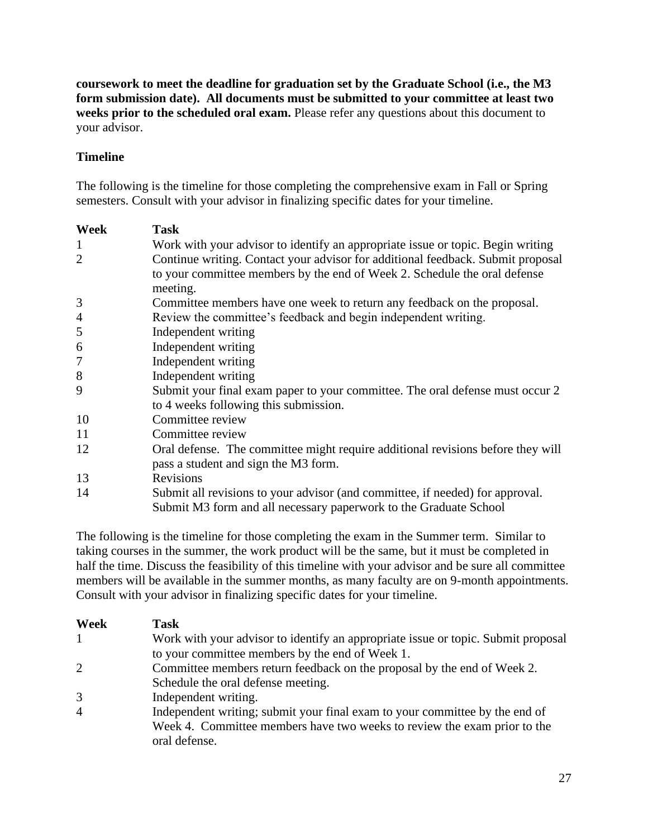**coursework to meet the deadline for graduation set by the Graduate School (i.e., the M3 form submission date). All documents must be submitted to your committee at least two weeks prior to the scheduled oral exam.** Please refer any questions about this document to your advisor.

### **Timeline**

The following is the timeline for those completing the comprehensive exam in Fall or Spring semesters. Consult with your advisor in finalizing specific dates for your timeline.

| Week           | <b>Task</b>                                                                                                                                                              |
|----------------|--------------------------------------------------------------------------------------------------------------------------------------------------------------------------|
| $\mathbf{1}$   | Work with your advisor to identify an appropriate issue or topic. Begin writing                                                                                          |
| $\overline{2}$ | Continue writing. Contact your advisor for additional feedback. Submit proposal<br>to your committee members by the end of Week 2. Schedule the oral defense<br>meeting. |
| 3              | Committee members have one week to return any feedback on the proposal.                                                                                                  |
| $\overline{4}$ | Review the committee's feedback and begin independent writing.                                                                                                           |
| 5              | Independent writing                                                                                                                                                      |
| 6              | Independent writing                                                                                                                                                      |
| 7              | Independent writing                                                                                                                                                      |
| 8              | Independent writing                                                                                                                                                      |
| 9              | Submit your final exam paper to your committee. The oral defense must occur 2<br>to 4 weeks following this submission.                                                   |
| 10             | Committee review                                                                                                                                                         |
| 11             | Committee review                                                                                                                                                         |
| 12             | Oral defense. The committee might require additional revisions before they will<br>pass a student and sign the M3 form.                                                  |
| 13             | Revisions                                                                                                                                                                |
| 14             | Submit all revisions to your advisor (and committee, if needed) for approval.<br>Submit M3 form and all necessary paperwork to the Graduate School                       |

The following is the timeline for those completing the exam in the Summer term. Similar to taking courses in the summer, the work product will be the same, but it must be completed in half the time. Discuss the feasibility of this timeline with your advisor and be sure all committee members will be available in the summer months, as many faculty are on 9-month appointments. Consult with your advisor in finalizing specific dates for your timeline.

| Week           | Task                                                                              |
|----------------|-----------------------------------------------------------------------------------|
|                | Work with your advisor to identify an appropriate issue or topic. Submit proposal |
|                | to your committee members by the end of Week 1.                                   |
| $\overline{2}$ | Committee members return feedback on the proposal by the end of Week 2.           |
|                | Schedule the oral defense meeting.                                                |
| 3              | Independent writing.                                                              |
| $\overline{4}$ | Independent writing; submit your final exam to your committee by the end of       |
|                | Week 4. Committee members have two weeks to review the exam prior to the          |
|                | oral defense.                                                                     |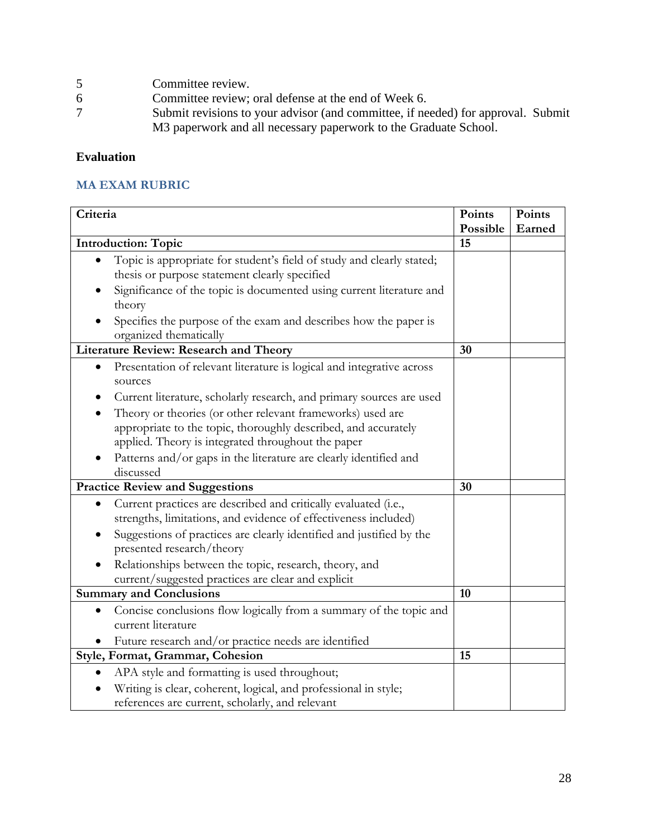- 5 Committee review.<br>6 Committee review;
- Committee review; oral defense at the end of Week 6.
- 7 Submit revisions to your advisor (and committee, if needed) for approval. Submit M3 paperwork and all necessary paperwork to the Graduate School.

### **Evaluation**

#### **MA EXAM RUBRIC**

| Criteria                                                                                                                                        |                | Points |
|-------------------------------------------------------------------------------------------------------------------------------------------------|----------------|--------|
|                                                                                                                                                 | Possible<br>15 | Earned |
| <b>Introduction: Topic</b>                                                                                                                      |                |        |
| Topic is appropriate for student's field of study and clearly stated;                                                                           |                |        |
| thesis or purpose statement clearly specified                                                                                                   |                |        |
| Significance of the topic is documented using current literature and<br>theory                                                                  |                |        |
| Specifies the purpose of the exam and describes how the paper is<br>organized thematically                                                      |                |        |
| <b>Literature Review: Research and Theory</b>                                                                                                   | 30             |        |
| Presentation of relevant literature is logical and integrative across<br>$\bullet$<br>sources                                                   |                |        |
| Current literature, scholarly research, and primary sources are used                                                                            |                |        |
| Theory or theories (or other relevant frameworks) used are                                                                                      |                |        |
| appropriate to the topic, thoroughly described, and accurately<br>applied. Theory is integrated throughout the paper                            |                |        |
| Patterns and/or gaps in the literature are clearly identified and<br>discussed                                                                  |                |        |
| <b>Practice Review and Suggestions</b>                                                                                                          |                |        |
| Current practices are described and critically evaluated (i.e.,<br>$\bullet$<br>strengths, limitations, and evidence of effectiveness included) |                |        |
| Suggestions of practices are clearly identified and justified by the<br>presented research/theory                                               |                |        |
| Relationships between the topic, research, theory, and<br>current/suggested practices are clear and explicit                                    |                |        |
| <b>Summary and Conclusions</b>                                                                                                                  | 10             |        |
| Concise conclusions flow logically from a summary of the topic and                                                                              |                |        |
| current literature                                                                                                                              |                |        |
| Future research and/or practice needs are identified                                                                                            |                |        |
| Style, Format, Grammar, Cohesion                                                                                                                | 15             |        |
| APA style and formatting is used throughout;                                                                                                    |                |        |
| Writing is clear, coherent, logical, and professional in style;<br>references are current, scholarly, and relevant                              |                |        |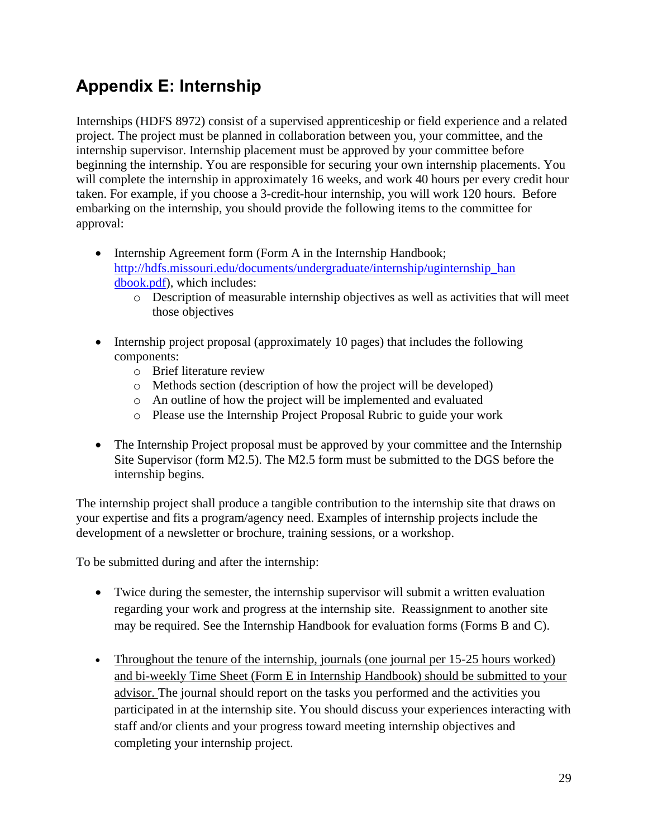# <span id="page-28-0"></span>**Appendix E: Internship**

Internships (HDFS 8972) consist of a supervised apprenticeship or field experience and a related project. The project must be planned in collaboration between you, your committee, and the internship supervisor. Internship placement must be approved by your committee before beginning the internship. You are responsible for securing your own internship placements. You will complete the internship in approximately 16 weeks, and work 40 hours per every credit hour taken. For example, if you choose a 3-credit-hour internship, you will work 120 hours. Before embarking on the internship, you should provide the following items to the committee for approval:

- Internship Agreement form (Form A in the Internship Handbook; [http://hdfs.missouri.edu/documents/undergraduate/internship/uginternship\\_han](http://hdfs.missouri.edu/documents/undergraduate/internship/uginternship_han%20dbook.pdf)  [dbook.pdf\)](http://hdfs.missouri.edu/documents/undergraduate/internship/uginternship_han%20dbook.pdf), which includes:
	- o Description of measurable internship objectives as well as activities that will meet those objectives
- Internship project proposal (approximately 10 pages) that includes the following components:
	- o Brief literature review
	- o Methods section (description of how the project will be developed)
	- o An outline of how the project will be implemented and evaluated
	- o Please use the Internship Project Proposal Rubric to guide your work
- The Internship Project proposal must be approved by your committee and the Internship Site Supervisor (form M2.5). The M2.5 form must be submitted to the DGS before the internship begins.

The internship project shall produce a tangible contribution to the internship site that draws on your expertise and fits a program/agency need. Examples of internship projects include the development of a newsletter or brochure, training sessions, or a workshop.

To be submitted during and after the internship:

- Twice during the semester, the internship supervisor will submit a written evaluation regarding your work and progress at the internship site. Reassignment to another site may be required. See the Internship Handbook for evaluation forms (Forms B and C).
- Throughout the tenure of the internship, journals (one journal per 15-25 hours worked) and bi-weekly Time Sheet (Form E in Internship Handbook) should be submitted to your advisor. The journal should report on the tasks you performed and the activities you participated in at the internship site. You should discuss your experiences interacting with staff and/or clients and your progress toward meeting internship objectives and completing your internship project.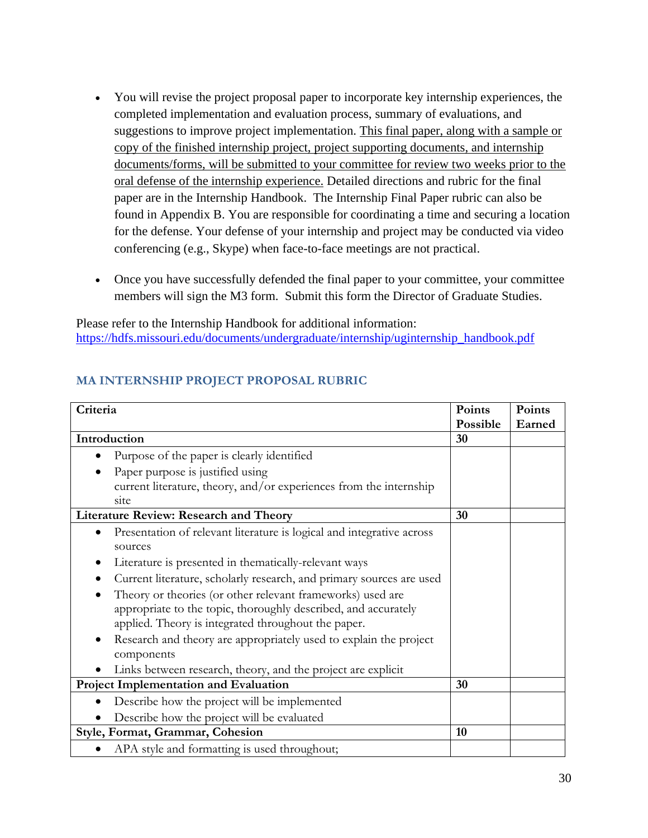- You will revise the project proposal paper to incorporate key internship experiences, the completed implementation and evaluation process, summary of evaluations, and suggestions to improve project implementation. This final paper, along with a sample or copy of the finished internship project, project supporting documents, and internship documents/forms, will be submitted to your committee for review two weeks prior to the oral defense of the internship experience. Detailed directions and rubric for the final paper are in the Internship Handbook. The Internship Final Paper rubric can also be found in Appendix B. You are responsible for coordinating a time and securing a location for the defense. Your defense of your internship and project may be conducted via video conferencing (e.g., Skype) when face-to-face meetings are not practical.
- Once you have successfully defended the final paper to your committee, your committee members will sign the M3 form. Submit this form the Director of Graduate Studies.

Please refer to the Internship Handbook for additional information: [https://hdfs.missouri.edu/documents/undergraduate/internship/uginternship\\_handbook.pdf](https://hdfs.missouri.edu/documents/undergraduate/internship/uginternship_handbook.pdf)

### **MA INTERNSHIP PROJECT PROPOSAL RUBRIC**

| Criteria                                                                           | Points   | Points |
|------------------------------------------------------------------------------------|----------|--------|
|                                                                                    | Possible | Earned |
| Introduction                                                                       | 30       |        |
| Purpose of the paper is clearly identified                                         |          |        |
| Paper purpose is justified using                                                   |          |        |
| current literature, theory, and/or experiences from the internship                 |          |        |
| site                                                                               |          |        |
| Literature Review: Research and Theory                                             | 30       |        |
| Presentation of relevant literature is logical and integrative across<br>$\bullet$ |          |        |
| sources                                                                            |          |        |
| Literature is presented in thematically-relevant ways                              |          |        |
| Current literature, scholarly research, and primary sources are used               |          |        |
| Theory or theories (or other relevant frameworks) used are                         |          |        |
| appropriate to the topic, thoroughly described, and accurately                     |          |        |
| applied. Theory is integrated throughout the paper.                                |          |        |
| Research and theory are appropriately used to explain the project                  |          |        |
| components                                                                         |          |        |
| Links between research, theory, and the project are explicit                       |          |        |
| Project Implementation and Evaluation                                              |          |        |
| Describe how the project will be implemented                                       |          |        |
| Describe how the project will be evaluated                                         |          |        |
| Style, Format, Grammar, Cohesion                                                   | 10       |        |
| APA style and formatting is used throughout;                                       |          |        |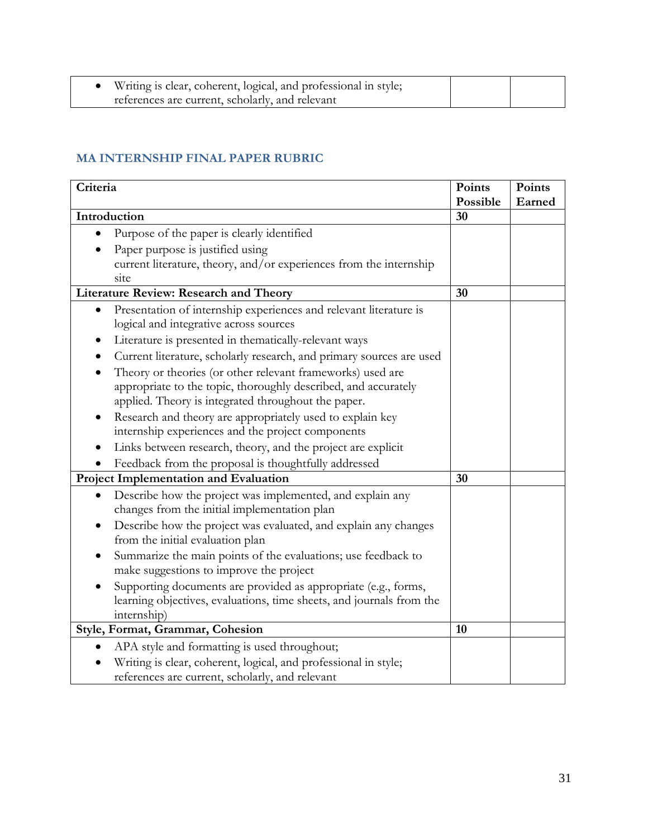| Writing is clear, coherent, logical, and professional in style; |  |
|-----------------------------------------------------------------|--|
| references are current, scholarly, and relevant                 |  |

### **MA INTERNSHIP FINAL PAPER RUBRIC**

| Criteria                                                                     |                | Points |
|------------------------------------------------------------------------------|----------------|--------|
| Introduction                                                                 | Possible<br>30 | Earned |
|                                                                              |                |        |
| Purpose of the paper is clearly identified                                   |                |        |
| Paper purpose is justified using                                             |                |        |
| current literature, theory, and/or experiences from the internship           |                |        |
| site<br><b>Literature Review: Research and Theory</b>                        | 30             |        |
| Presentation of internship experiences and relevant literature is            |                |        |
| logical and integrative across sources                                       |                |        |
| Literature is presented in thematically-relevant ways                        |                |        |
| Current literature, scholarly research, and primary sources are used         |                |        |
| Theory or theories (or other relevant frameworks) used are                   |                |        |
| appropriate to the topic, thoroughly described, and accurately               |                |        |
| applied. Theory is integrated throughout the paper.                          |                |        |
| Research and theory are appropriately used to explain key                    |                |        |
| internship experiences and the project components                            |                |        |
| Links between research, theory, and the project are explicit                 |                |        |
| Feedback from the proposal is thoughtfully addressed                         |                |        |
| Project Implementation and Evaluation                                        | 30             |        |
| Describe how the project was implemented, and explain any<br>$\bullet$       |                |        |
| changes from the initial implementation plan                                 |                |        |
| Describe how the project was evaluated, and explain any changes<br>$\bullet$ |                |        |
| from the initial evaluation plan                                             |                |        |
| Summarize the main points of the evaluations; use feedback to                |                |        |
| make suggestions to improve the project                                      |                |        |
| Supporting documents are provided as appropriate (e.g., forms,               |                |        |
| learning objectives, evaluations, time sheets, and journals from the         |                |        |
| internship)                                                                  |                |        |
| Style, Format, Grammar, Cohesion                                             | 10             |        |
| APA style and formatting is used throughout;                                 |                |        |
| Writing is clear, coherent, logical, and professional in style;              |                |        |
| references are current, scholarly, and relevant                              |                |        |